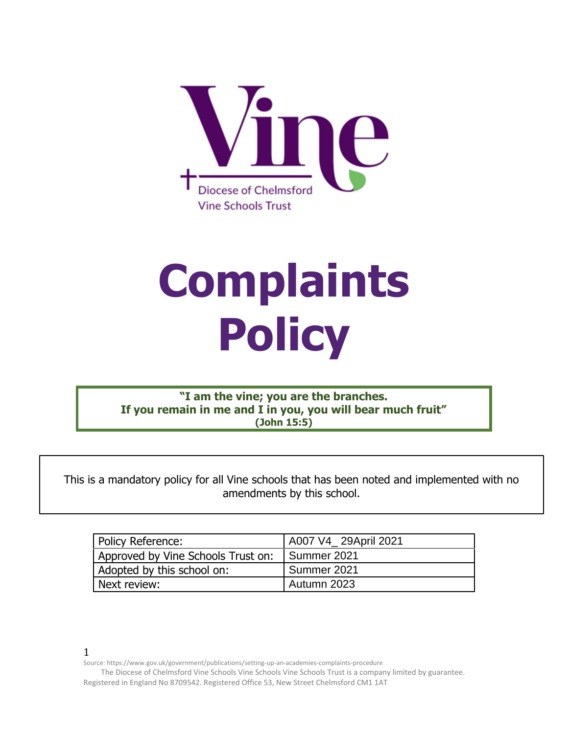

# **Complaints Policy**

**"I am the vine; you are the branches. If you remain in me and I in you, you will bear much fruit" (John 15:5)**

This is a mandatory policy for all Vine schools that has been noted and implemented with no amendments by this school.

| Policy Reference:                  | A007 V4_29April 2021 |
|------------------------------------|----------------------|
| Approved by Vine Schools Trust on: | I Summer 2021        |
| Adopted by this school on:         | Summer 2021          |
| Next review:                       | Autumn 2023          |

1

The Diocese of Chelmsford Vine Schools Vine Schools Vine Schools Trust is a company limited by guarantee.

Registered in England No 8709542. Registered Office 53, New Street Chelmsford CM1 1AT

Source: https://www.gov.uk/government/publications/setting-up-an-academies-complaints-procedure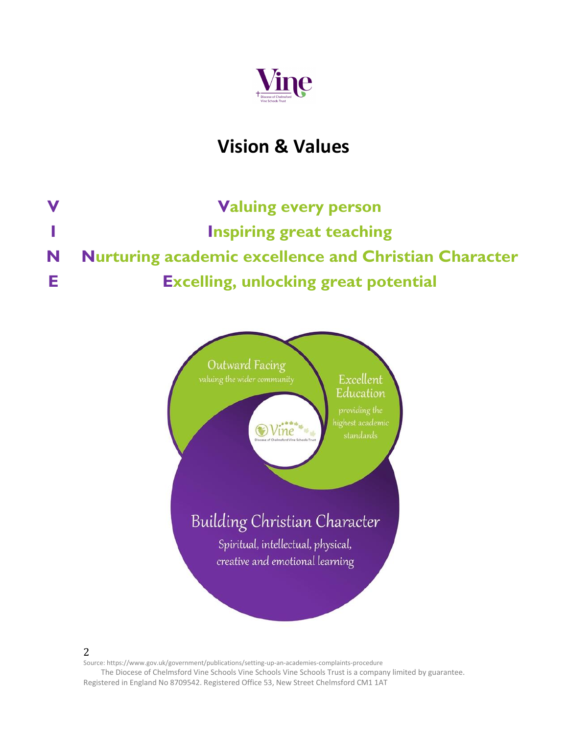

## **Vision & Values**

**V Valuing every person I Inspiring great teaching N Nurturing academic excellence and Christian Character E Excelling, unlocking great potential**



2

Source: https://www.gov.uk/government/publications/setting-up-an-academies-complaints-procedure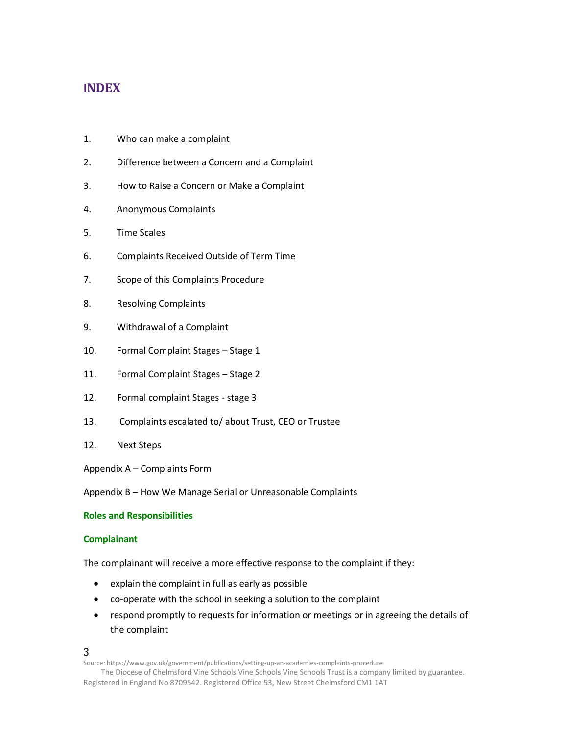#### **INDEX**

- 1. Who can make a complaint
- 2. Difference between a Concern and a Complaint
- 3. How to Raise a Concern or Make a Complaint
- 4. Anonymous Complaints
- 5. Time Scales
- 6. Complaints Received Outside of Term Time
- 7. Scope of this Complaints Procedure
- 8. Resolving Complaints
- 9. Withdrawal of a Complaint
- 10. Formal Complaint Stages Stage 1
- 11. Formal Complaint Stages Stage 2
- 12. Formal complaint Stages stage 3
- 13. Complaints escalated to/ about Trust, CEO or Trustee
- 12. Next Steps

Appendix A – Complaints Form

Appendix B – How We Manage Serial or Unreasonable Complaints

#### **Roles and Responsibilities**

#### **Complainant**

The complainant will receive a more effective response to the complaint if they:

- explain the complaint in full as early as possible
- co-operate with the school in seeking a solution to the complaint
- respond promptly to requests for information or meetings or in agreeing the details of the complaint

3

Source: https://www.gov.uk/government/publications/setting-up-an-academies-complaints-procedure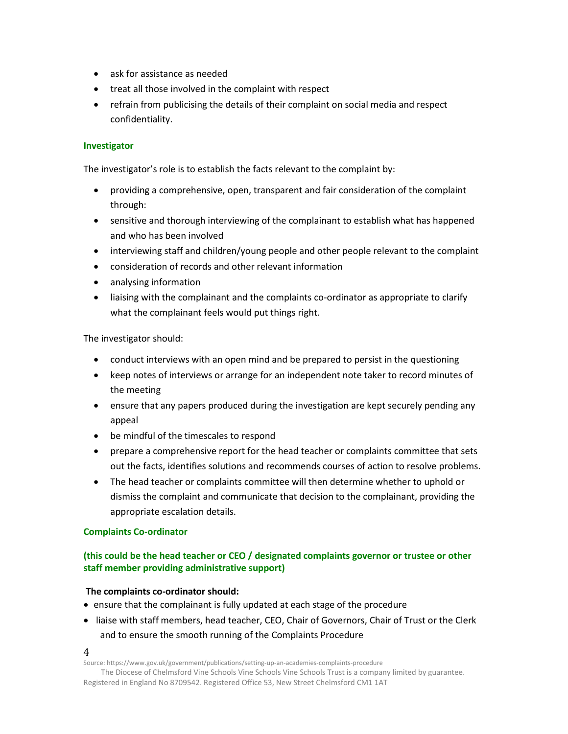- ask for assistance as needed
- treat all those involved in the complaint with respect
- refrain from publicising the details of their complaint on social media and respect confidentiality.

#### **Investigator**

The investigator's role is to establish the facts relevant to the complaint by:

- providing a comprehensive, open, transparent and fair consideration of the complaint through:
- sensitive and thorough interviewing of the complainant to establish what has happened and who has been involved
- interviewing staff and children/young people and other people relevant to the complaint
- consideration of records and other relevant information
- analysing information
- liaising with the complainant and the complaints co-ordinator as appropriate to clarify what the complainant feels would put things right.

The investigator should:

- conduct interviews with an open mind and be prepared to persist in the questioning
- keep notes of interviews or arrange for an independent note taker to record minutes of the meeting
- ensure that any papers produced during the investigation are kept securely pending any appeal
- be mindful of the timescales to respond
- prepare a comprehensive report for the head teacher or complaints committee that sets out the facts, identifies solutions and recommends courses of action to resolve problems.
- The head teacher or complaints committee will then determine whether to uphold or dismiss the complaint and communicate that decision to the complainant, providing the appropriate escalation details.

#### **Complaints Co-ordinator**

#### **(this could be the head teacher or CEO / designated complaints governor or trustee or other staff member providing administrative support)**

#### **The complaints co-ordinator should:**

- ensure that the complainant is fully updated at each stage of the procedure
- liaise with staff members, head teacher, CEO, Chair of Governors, Chair of Trust or the Clerk and to ensure the smooth running of the Complaints Procedure

4

Source: https://www.gov.uk/government/publications/setting-up-an-academies-complaints-procedure

The Diocese of Chelmsford Vine Schools Vine Schools Vine Schools Trust is a company limited by guarantee. Registered in England No 8709542. Registered Office 53, New Street Chelmsford CM1 1AT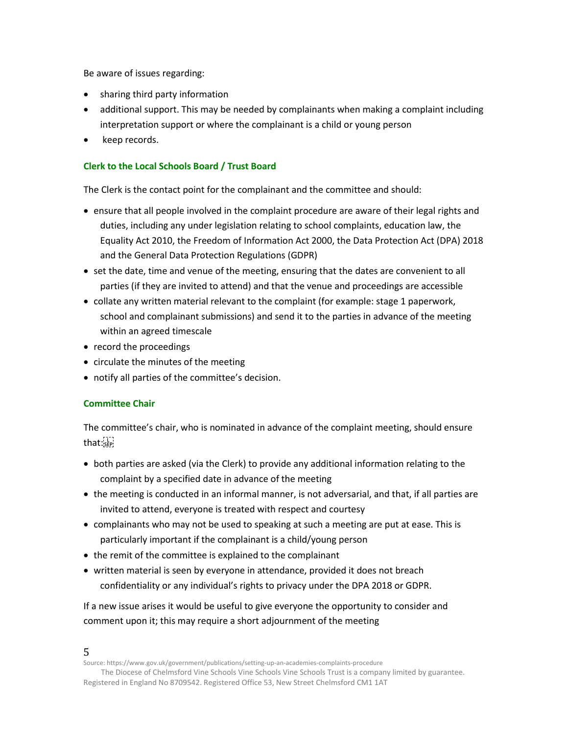Be aware of issues regarding:

- sharing third party information
- additional support. This may be needed by complainants when making a complaint including interpretation support or where the complainant is a child or young person
- keep records.

#### **Clerk to the Local Schools Board / Trust Board**

The Clerk is the contact point for the complainant and the committee and should:

- ensure that all people involved in the complaint procedure are aware of their legal rights and duties, including any under legislation relating to school complaints, education law, the Equality Act 2010, the Freedom of Information Act 2000, the Data Protection Act (DPA) 2018 and the General Data Protection Regulations (GDPR)
- set the date, time and venue of the meeting, ensuring that the dates are convenient to all parties (if they are invited to attend) and that the venue and proceedings are accessible
- collate any written material relevant to the complaint (for example: stage 1 paperwork, school and complainant submissions) and send it to the parties in advance of the meeting within an agreed timescale
- record the proceedings
- circulate the minutes of the meeting
- notify all parties of the committee's decision.

#### **Committee Chair**

The committee's chair, who is nominated in advance of the complaint meeting, should ensure  $that:$ 

- both parties are asked (via the Clerk) to provide any additional information relating to the complaint by a specified date in advance of the meeting
- the meeting is conducted in an informal manner, is not adversarial, and that, if all parties are invited to attend, everyone is treated with respect and courtesy
- complainants who may not be used to speaking at such a meeting are put at ease. This is particularly important if the complainant is a child/young person
- the remit of the committee is explained to the complainant
- written material is seen by everyone in attendance, provided it does not breach confidentiality or any individual's rights to privacy under the DPA 2018 or GDPR.

If a new issue arises it would be useful to give everyone the opportunity to consider and comment upon it; this may require a short adjournment of the meeting

5

Source: https://www.gov.uk/government/publications/setting-up-an-academies-complaints-procedure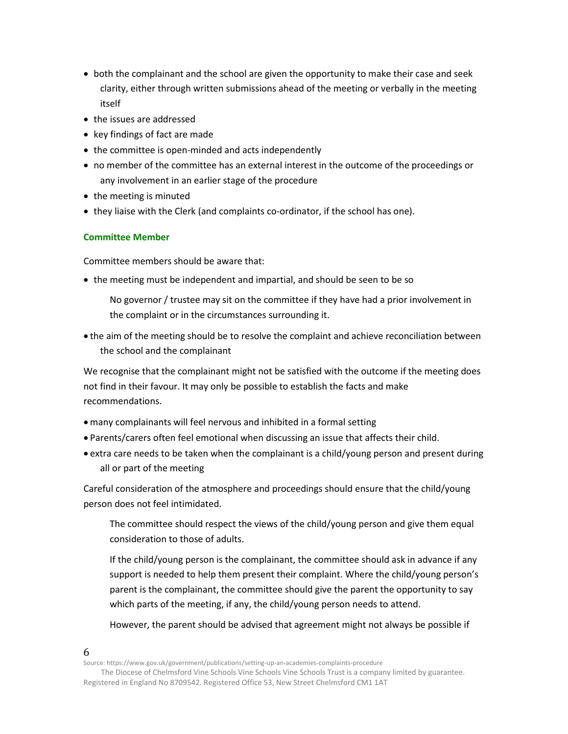- both the complainant and the school are given the opportunity to make their case and seek clarity, either through written submissions ahead of the meeting or verbally in the meeting itself
- the issues are addressed
- key findings of fact are made
- the committee is open-minded and acts independently
- no member of the committee has an external interest in the outcome of the proceedings or any involvement in an earlier stage of the procedure
- the meeting is minuted
- they liaise with the Clerk (and complaints co-ordinator, if the school has one).

#### **Committee Member**

Committee members should be aware that:

- the meeting must be independent and impartial, and should be seen to be so
	- No governor / trustee may sit on the committee if they have had a prior involvement in the complaint or in the circumstances surrounding it.
- the aim of the meeting should be to resolve the complaint and achieve reconciliation between the school and the complainant

We recognise that the complainant might not be satisfied with the outcome if the meeting does not find in their favour. It may only be possible to establish the facts and make recommendations.

- many complainants will feel nervous and inhibited in a formal setting
- Parents/carers often feel emotional when discussing an issue that affects their child.
- extra care needs to be taken when the complainant is a child/young person and present during all or part of the meeting

Careful consideration of the atmosphere and proceedings should ensure that the child/young person does not feel intimidated.

The committee should respect the views of the child/young person and give them equal consideration to those of adults.

If the child/young person is the complainant, the committee should ask in advance if any support is needed to help them present their complaint. Where the child/young person's parent is the complainant, the committee should give the parent the opportunity to say which parts of the meeting, if any, the child/young person needs to attend.

However, the parent should be advised that agreement might not always be possible if

Source: https://www.gov.uk/government/publications/setting-up-an-academies-complaints-procedure

The Diocese of Chelmsford Vine Schools Vine Schools Vine Schools Trust is a company limited by guarantee. Registered in England No 8709542. Registered Office 53, New Street Chelmsford CM1 1AT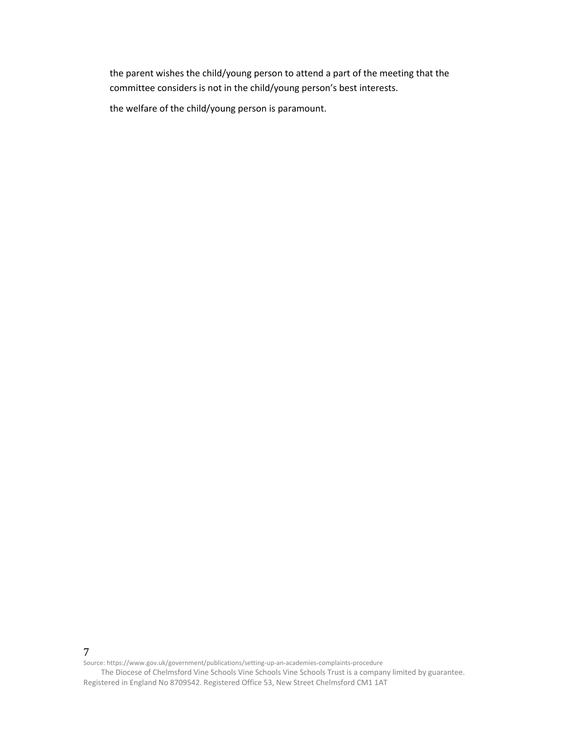the parent wishes the child/young person to attend a part of the meeting that the committee considers is not in the child/young person's best interests.

the welfare of the child/young person is paramount.

7

Source: https://www.gov.uk/government/publications/setting-up-an-academies-complaints-procedure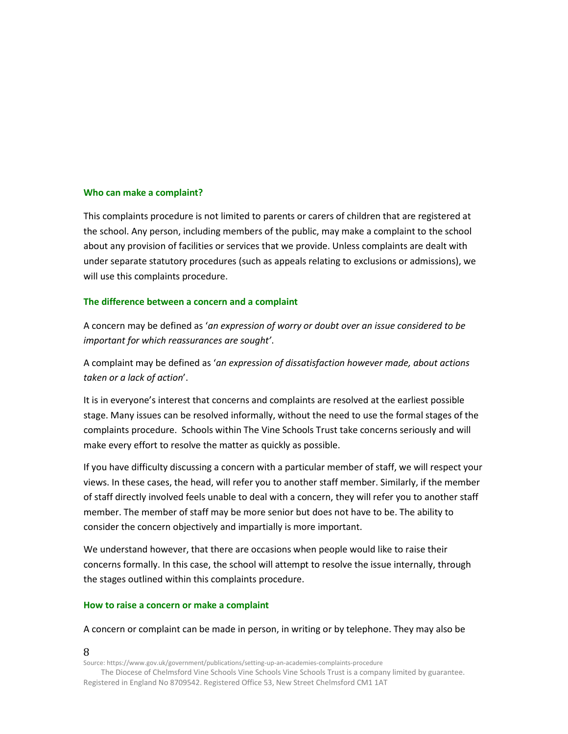#### **Who can make a complaint?**

This complaints procedure is not limited to parents or carers of children that are registered at the school. Any person, including members of the public, may make a complaint to the school about any provision of facilities or services that we provide. Unless complaints are dealt with under separate statutory procedures (such as appeals relating to exclusions or admissions), we will use this complaints procedure.

#### **The difference between a concern and a complaint**

A concern may be defined as '*an expression of worry or doubt over an issue considered to be important for which reassurances are sought'*.

A complaint may be defined as '*an expression of dissatisfaction however made, about actions taken or a lack of action*'.

It is in everyone's interest that concerns and complaints are resolved at the earliest possible stage. Many issues can be resolved informally, without the need to use the formal stages of the complaints procedure. Schools within The Vine Schools Trust take concerns seriously and will make every effort to resolve the matter as quickly as possible.

If you have difficulty discussing a concern with a particular member of staff, we will respect your views. In these cases, the head, will refer you to another staff member. Similarly, if the member of staff directly involved feels unable to deal with a concern, they will refer you to another staff member. The member of staff may be more senior but does not have to be. The ability to consider the concern objectively and impartially is more important.

We understand however, that there are occasions when people would like to raise their concerns formally. In this case, the school will attempt to resolve the issue internally, through the stages outlined within this complaints procedure.

#### **How to raise a concern or make a complaint**

A concern or complaint can be made in person, in writing or by telephone. They may also be

#### 8

Source: https://www.gov.uk/government/publications/setting-up-an-academies-complaints-procedure

The Diocese of Chelmsford Vine Schools Vine Schools Vine Schools Trust is a company limited by guarantee. Registered in England No 8709542. Registered Office 53, New Street Chelmsford CM1 1AT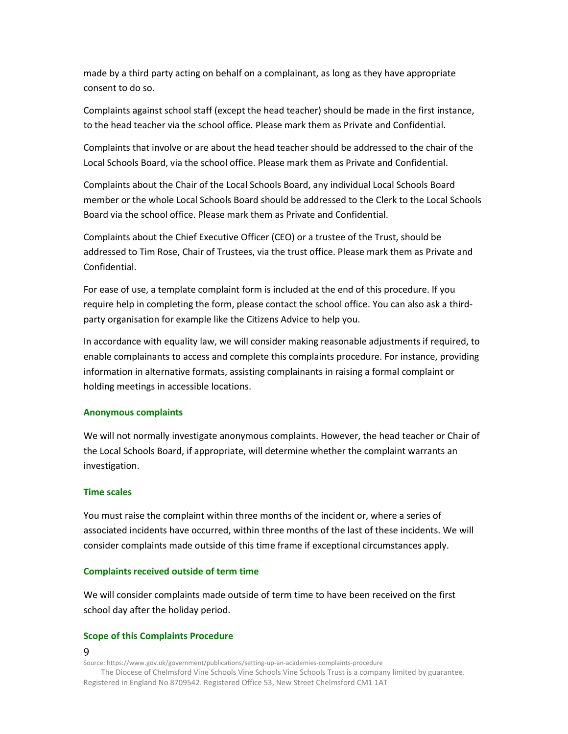made by a third party acting on behalf on a complainant, as long as they have appropriate consent to do so.

Complaints against school staff (except the head teacher) should be made in the first instance, to the head teacher via the school office*.* Please mark them as Private and Confidential.

Complaints that involve or are about the head teacher should be addressed to the chair of the Local Schools Board, via the school office. Please mark them as Private and Confidential.

Complaints about the Chair of the Local Schools Board, any individual Local Schools Board member or the whole Local Schools Board should be addressed to the Clerk to the Local Schools Board via the school office. Please mark them as Private and Confidential.

Complaints about the Chief Executive Officer (CEO) or a trustee of the Trust, should be addressed to Tim Rose, Chair of Trustees, via the trust office. Please mark them as Private and Confidential.

For ease of use, a template complaint form is included at the end of this procedure. If you require help in completing the form, please contact the school office. You can also ask a thirdparty organisation for example like the Citizens Advice to help you.

In accordance with equality law, we will consider making reasonable adjustments if required, to enable complainants to access and complete this complaints procedure. For instance, providing information in alternative formats, assisting complainants in raising a formal complaint or holding meetings in accessible locations.

#### **Anonymous complaints**

We will not normally investigate anonymous complaints. However, the head teacher or Chair of the Local Schools Board, if appropriate, will determine whether the complaint warrants an investigation.

#### **Time scales**

You must raise the complaint within three months of the incident or, where a series of associated incidents have occurred, within three months of the last of these incidents. We will consider complaints made outside of this time frame if exceptional circumstances apply.

#### **Complaints received outside of term time**

We will consider complaints made outside of term time to have been received on the first school day after the holiday period.

#### **Scope of this Complaints Procedure**

9

Source: https://www.gov.uk/government/publications/setting-up-an-academies-complaints-procedure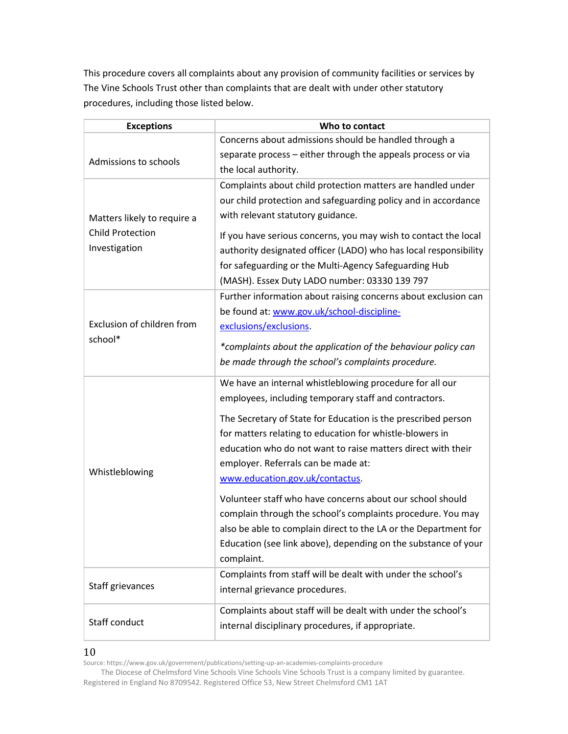This procedure covers all complaints about any provision of community facilities or services by The Vine Schools Trust other than complaints that are dealt with under other statutory procedures, including those listed below.

| <b>Exceptions</b>                     | Who to contact                                                   |
|---------------------------------------|------------------------------------------------------------------|
| Admissions to schools                 | Concerns about admissions should be handled through a            |
|                                       | separate process - either through the appeals process or via     |
|                                       | the local authority.                                             |
|                                       | Complaints about child protection matters are handled under      |
|                                       | our child protection and safeguarding policy and in accordance   |
| Matters likely to require a           | with relevant statutory guidance.                                |
| <b>Child Protection</b>               | If you have serious concerns, you may wish to contact the local  |
| Investigation                         | authority designated officer (LADO) who has local responsibility |
|                                       | for safeguarding or the Multi-Agency Safeguarding Hub            |
|                                       | (MASH). Essex Duty LADO number: 03330 139 797                    |
|                                       | Further information about raising concerns about exclusion can   |
|                                       | be found at: www.gov.uk/school-discipline-                       |
| Exclusion of children from<br>school* | exclusions/exclusions.                                           |
|                                       | *complaints about the application of the behaviour policy can    |
|                                       | be made through the school's complaints procedure.               |
|                                       | We have an internal whistleblowing procedure for all our         |
|                                       | employees, including temporary staff and contractors.            |
|                                       | The Secretary of State for Education is the prescribed person    |
|                                       | for matters relating to education for whistle-blowers in         |
|                                       | education who do not want to raise matters direct with their     |
| Whistleblowing                        | employer. Referrals can be made at:                              |
|                                       | www.education.gov.uk/contactus.                                  |
|                                       | Volunteer staff who have concerns about our school should        |
|                                       | complain through the school's complaints procedure. You may      |
|                                       | also be able to complain direct to the LA or the Department for  |
|                                       | Education (see link above), depending on the substance of your   |
|                                       | complaint.                                                       |
| Staff grievances                      | Complaints from staff will be dealt with under the school's      |
|                                       | internal grievance procedures.                                   |
| Staff conduct                         | Complaints about staff will be dealt with under the school's     |
|                                       | internal disciplinary procedures, if appropriate.                |

10

Source: https://www.gov.uk/government/publications/setting-up-an-academies-complaints-procedure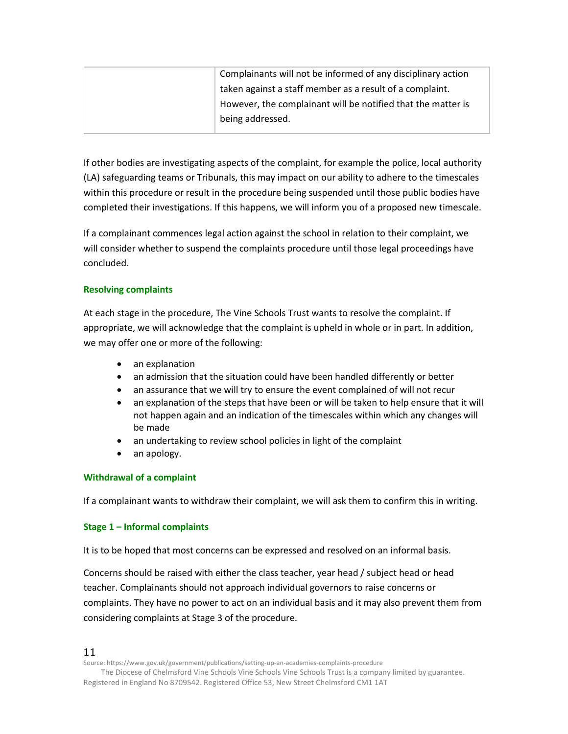| Complainants will not be informed of any disciplinary action |
|--------------------------------------------------------------|
| taken against a staff member as a result of a complaint.     |
| However, the complainant will be notified that the matter is |
| being addressed.                                             |
|                                                              |

If other bodies are investigating aspects of the complaint, for example the police, local authority (LA) safeguarding teams or Tribunals, this may impact on our ability to adhere to the timescales within this procedure or result in the procedure being suspended until those public bodies have completed their investigations. If this happens, we will inform you of a proposed new timescale.

If a complainant commences legal action against the school in relation to their complaint, we will consider whether to suspend the complaints procedure until those legal proceedings have concluded.

#### **Resolving complaints**

At each stage in the procedure, The Vine Schools Trust wants to resolve the complaint. If appropriate, we will acknowledge that the complaint is upheld in whole or in part. In addition, we may offer one or more of the following:

- an explanation
- an admission that the situation could have been handled differently or better
- an assurance that we will try to ensure the event complained of will not recur
- an explanation of the steps that have been or will be taken to help ensure that it will not happen again and an indication of the timescales within which any changes will be made
- an undertaking to review school policies in light of the complaint
- an apology.

#### **Withdrawal of a complaint**

If a complainant wants to withdraw their complaint, we will ask them to confirm this in writing.

#### **Stage 1 – Informal complaints**

It is to be hoped that most concerns can be expressed and resolved on an informal basis.

Concerns should be raised with either the class teacher, year head / subject head or head teacher. Complainants should not approach individual governors to raise concerns or complaints. They have no power to act on an individual basis and it may also prevent them from considering complaints at Stage 3 of the procedure.

11

Source: https://www.gov.uk/government/publications/setting-up-an-academies-complaints-procedure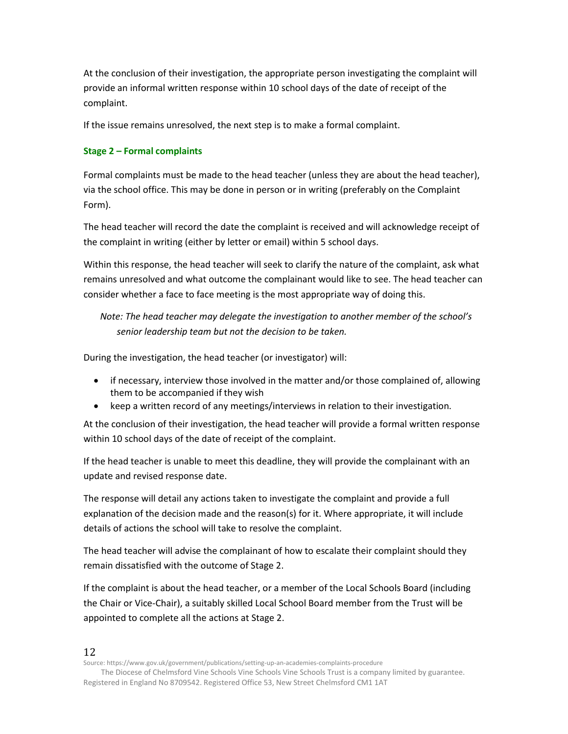At the conclusion of their investigation, the appropriate person investigating the complaint will provide an informal written response within 10 school days of the date of receipt of the complaint.

If the issue remains unresolved, the next step is to make a formal complaint.

#### **Stage 2 – Formal complaints**

Formal complaints must be made to the head teacher (unless they are about the head teacher), via the school office. This may be done in person or in writing (preferably on the Complaint Form).

The head teacher will record the date the complaint is received and will acknowledge receipt of the complaint in writing (either by letter or email) within 5 school days.

Within this response, the head teacher will seek to clarify the nature of the complaint, ask what remains unresolved and what outcome the complainant would like to see. The head teacher can consider whether a face to face meeting is the most appropriate way of doing this.

*Note: The head teacher may delegate the investigation to another member of the school's senior leadership team but not the decision to be taken.*

During the investigation, the head teacher (or investigator) will:

- if necessary, interview those involved in the matter and/or those complained of, allowing them to be accompanied if they wish
- keep a written record of any meetings/interviews in relation to their investigation.

At the conclusion of their investigation, the head teacher will provide a formal written response within 10 school days of the date of receipt of the complaint.

If the head teacher is unable to meet this deadline, they will provide the complainant with an update and revised response date.

The response will detail any actions taken to investigate the complaint and provide a full explanation of the decision made and the reason(s) for it. Where appropriate, it will include details of actions the school will take to resolve the complaint.

The head teacher will advise the complainant of how to escalate their complaint should they remain dissatisfied with the outcome of Stage 2.

If the complaint is about the head teacher, or a member of the Local Schools Board (including the Chair or Vice-Chair), a suitably skilled Local School Board member from the Trust will be appointed to complete all the actions at Stage 2.

12

Source: https://www.gov.uk/government/publications/setting-up-an-academies-complaints-procedure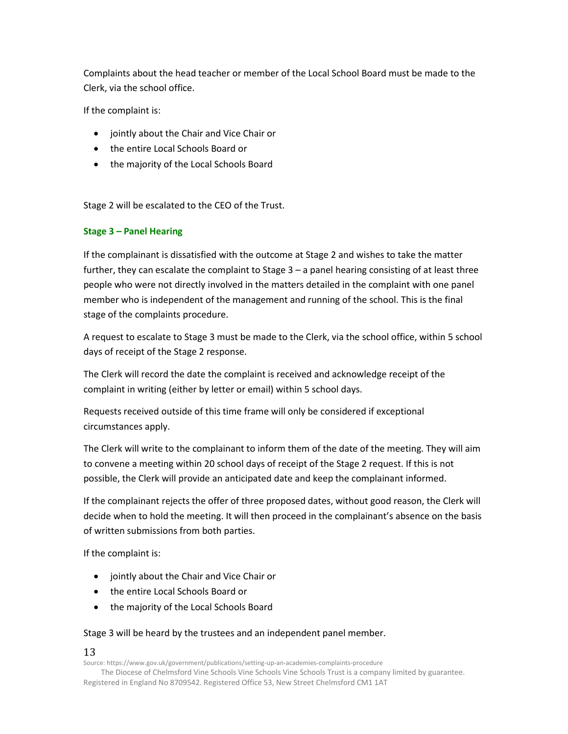Complaints about the head teacher or member of the Local School Board must be made to the Clerk, via the school office.

If the complaint is:

- jointly about the Chair and Vice Chair or
- the entire Local Schools Board or
- the majority of the Local Schools Board

Stage 2 will be escalated to the CEO of the Trust.

#### **Stage 3 – Panel Hearing**

If the complainant is dissatisfied with the outcome at Stage 2 and wishes to take the matter further, they can escalate the complaint to Stage 3 – a panel hearing consisting of at least three people who were not directly involved in the matters detailed in the complaint with one panel member who is independent of the management and running of the school. This is the final stage of the complaints procedure.

A request to escalate to Stage 3 must be made to the Clerk, via the school office, within 5 school days of receipt of the Stage 2 response.

The Clerk will record the date the complaint is received and acknowledge receipt of the complaint in writing (either by letter or email) within 5 school days.

Requests received outside of this time frame will only be considered if exceptional circumstances apply.

The Clerk will write to the complainant to inform them of the date of the meeting. They will aim to convene a meeting within 20 school days of receipt of the Stage 2 request. If this is not possible, the Clerk will provide an anticipated date and keep the complainant informed.

If the complainant rejects the offer of three proposed dates, without good reason, the Clerk will decide when to hold the meeting. It will then proceed in the complainant's absence on the basis of written submissions from both parties.

If the complaint is:

- jointly about the Chair and Vice Chair or
- the entire Local Schools Board or
- the majority of the Local Schools Board

#### Stage 3 will be heard by the trustees and an independent panel member.

#### 13

Source: https://www.gov.uk/government/publications/setting-up-an-academies-complaints-procedure

The Diocese of Chelmsford Vine Schools Vine Schools Vine Schools Trust is a company limited by guarantee. Registered in England No 8709542. Registered Office 53, New Street Chelmsford CM1 1AT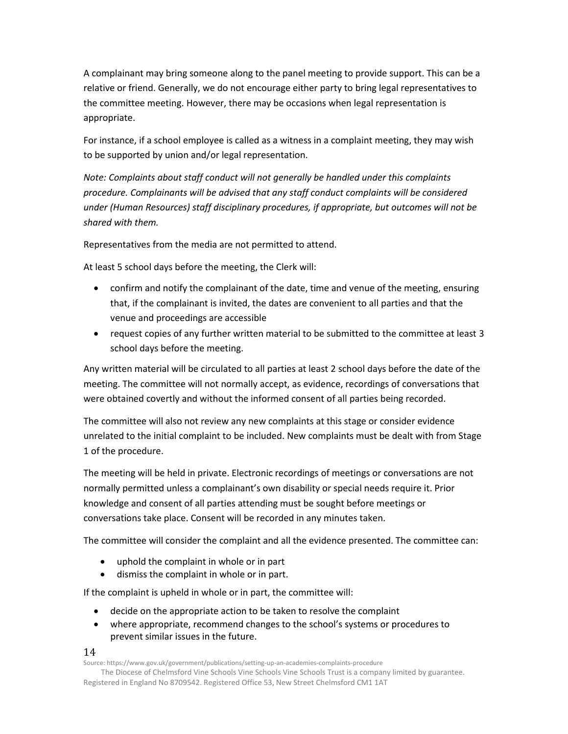A complainant may bring someone along to the panel meeting to provide support. This can be a relative or friend. Generally, we do not encourage either party to bring legal representatives to the committee meeting. However, there may be occasions when legal representation is appropriate.

For instance, if a school employee is called as a witness in a complaint meeting, they may wish to be supported by union and/or legal representation.

*Note: Complaints about staff conduct will not generally be handled under this complaints procedure. Complainants will be advised that any staff conduct complaints will be considered under (Human Resources) staff disciplinary procedures, if appropriate, but outcomes will not be shared with them.* 

Representatives from the media are not permitted to attend.

At least 5 school days before the meeting, the Clerk will:

- confirm and notify the complainant of the date, time and venue of the meeting, ensuring that, if the complainant is invited, the dates are convenient to all parties and that the venue and proceedings are accessible
- request copies of any further written material to be submitted to the committee at least 3 school days before the meeting.

Any written material will be circulated to all parties at least 2 school days before the date of the meeting. The committee will not normally accept, as evidence, recordings of conversations that were obtained covertly and without the informed consent of all parties being recorded.

The committee will also not review any new complaints at this stage or consider evidence unrelated to the initial complaint to be included. New complaints must be dealt with from Stage 1 of the procedure.

The meeting will be held in private. Electronic recordings of meetings or conversations are not normally permitted unless a complainant's own disability or special needs require it. Prior knowledge and consent of all parties attending must be sought before meetings or conversations take place. Consent will be recorded in any minutes taken.

The committee will consider the complaint and all the evidence presented. The committee can:

- uphold the complaint in whole or in part
- dismiss the complaint in whole or in part.

If the complaint is upheld in whole or in part, the committee will:

- decide on the appropriate action to be taken to resolve the complaint
- where appropriate, recommend changes to the school's systems or procedures to prevent similar issues in the future.

#### 14

Source: https://www.gov.uk/government/publications/setting-up-an-academies-complaints-procedure

The Diocese of Chelmsford Vine Schools Vine Schools Vine Schools Trust is a company limited by guarantee. Registered in England No 8709542. Registered Office 53, New Street Chelmsford CM1 1AT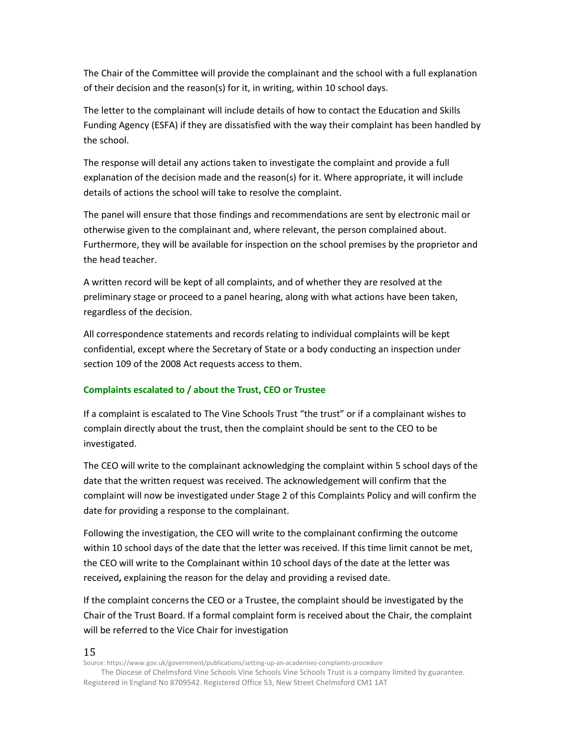The Chair of the Committee will provide the complainant and the school with a full explanation of their decision and the reason(s) for it, in writing, within 10 school days.

The letter to the complainant will include details of how to contact the Education and Skills Funding Agency (ESFA) if they are dissatisfied with the way their complaint has been handled by the school.

The response will detail any actions taken to investigate the complaint and provide a full explanation of the decision made and the reason(s) for it. Where appropriate, it will include details of actions the school will take to resolve the complaint.

The panel will ensure that those findings and recommendations are sent by electronic mail or otherwise given to the complainant and, where relevant, the person complained about. Furthermore, they will be available for inspection on the school premises by the proprietor and the head teacher.

A written record will be kept of all complaints, and of whether they are resolved at the preliminary stage or proceed to a panel hearing, along with what actions have been taken, regardless of the decision.

All correspondence statements and records relating to individual complaints will be kept confidential, except where the Secretary of State or a body conducting an inspection under section 109 of the 2008 Act requests access to them.

#### **Complaints escalated to / about the Trust, CEO or Trustee**

If a complaint is escalated to The Vine Schools Trust "the trust" or if a complainant wishes to complain directly about the trust, then the complaint should be sent to the CEO to be investigated.

The CEO will write to the complainant acknowledging the complaint within 5 school days of the date that the written request was received. The acknowledgement will confirm that the complaint will now be investigated under Stage 2 of this Complaints Policy and will confirm the date for providing a response to the complainant.

Following the investigation, the CEO will write to the complainant confirming the outcome within 10 school days of the date that the letter was received. If this time limit cannot be met, the CEO will write to the Complainant within 10 school days of the date at the letter was received**,** explaining the reason for the delay and providing a revised date.

If the complaint concerns the CEO or a Trustee, the complaint should be investigated by the Chair of the Trust Board. If a formal complaint form is received about the Chair, the complaint will be referred to the Vice Chair for investigation

15

Source: https://www.gov.uk/government/publications/setting-up-an-academies-complaints-procedure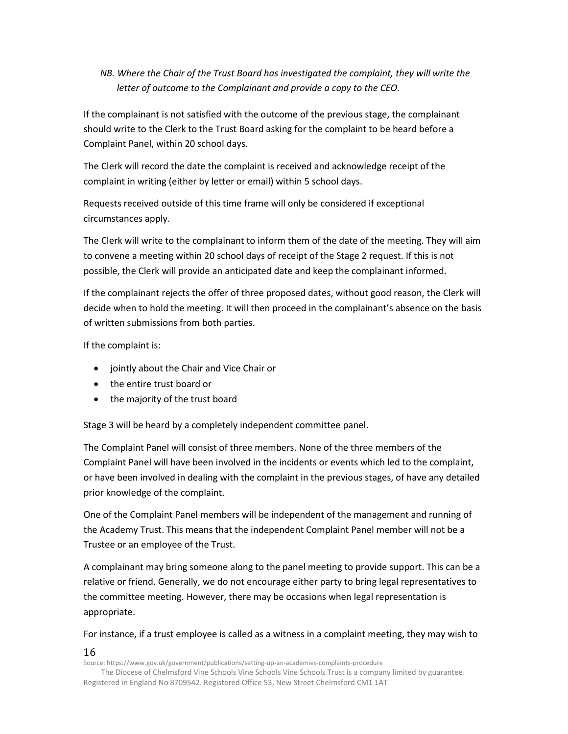*NB. Where the Chair of the Trust Board has investigated the complaint, they will write the letter of outcome to the Complainant and provide a copy to the CEO.* 

If the complainant is not satisfied with the outcome of the previous stage, the complainant should write to the Clerk to the Trust Board asking for the complaint to be heard before a Complaint Panel, within 20 school days.

The Clerk will record the date the complaint is received and acknowledge receipt of the complaint in writing (either by letter or email) within 5 school days.

Requests received outside of this time frame will only be considered if exceptional circumstances apply.

The Clerk will write to the complainant to inform them of the date of the meeting. They will aim to convene a meeting within 20 school days of receipt of the Stage 2 request. If this is not possible, the Clerk will provide an anticipated date and keep the complainant informed.

If the complainant rejects the offer of three proposed dates, without good reason, the Clerk will decide when to hold the meeting. It will then proceed in the complainant's absence on the basis of written submissions from both parties.

If the complaint is:

- jointly about the Chair and Vice Chair or
- the entire trust board or
- the majority of the trust board

Stage 3 will be heard by a completely independent committee panel.

The Complaint Panel will consist of three members. None of the three members of the Complaint Panel will have been involved in the incidents or events which led to the complaint, or have been involved in dealing with the complaint in the previous stages, of have any detailed prior knowledge of the complaint.

One of the Complaint Panel members will be independent of the management and running of the Academy Trust. This means that the independent Complaint Panel member will not be a Trustee or an employee of the Trust.

A complainant may bring someone along to the panel meeting to provide support. This can be a relative or friend. Generally, we do not encourage either party to bring legal representatives to the committee meeting. However, there may be occasions when legal representation is appropriate.

For instance, if a trust employee is called as a witness in a complaint meeting, they may wish to

#### 16

Source: https://www.gov.uk/government/publications/setting-up-an-academies-complaints-procedure

The Diocese of Chelmsford Vine Schools Vine Schools Vine Schools Trust is a company limited by guarantee. Registered in England No 8709542. Registered Office 53, New Street Chelmsford CM1 1AT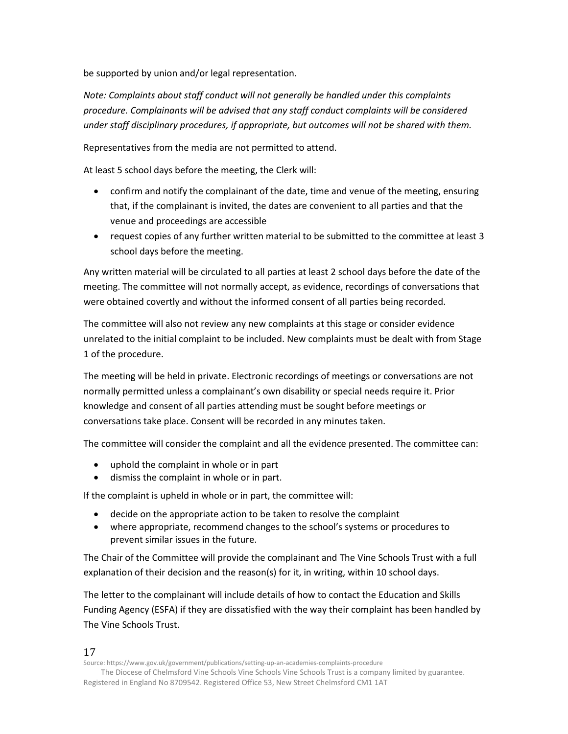be supported by union and/or legal representation.

*Note: Complaints about staff conduct will not generally be handled under this complaints procedure. Complainants will be advised that any staff conduct complaints will be considered under staff disciplinary procedures, if appropriate, but outcomes will not be shared with them.* 

Representatives from the media are not permitted to attend.

At least 5 school days before the meeting, the Clerk will:

- confirm and notify the complainant of the date, time and venue of the meeting, ensuring that, if the complainant is invited, the dates are convenient to all parties and that the venue and proceedings are accessible
- request copies of any further written material to be submitted to the committee at least 3 school days before the meeting.

Any written material will be circulated to all parties at least 2 school days before the date of the meeting. The committee will not normally accept, as evidence, recordings of conversations that were obtained covertly and without the informed consent of all parties being recorded.

The committee will also not review any new complaints at this stage or consider evidence unrelated to the initial complaint to be included. New complaints must be dealt with from Stage 1 of the procedure.

The meeting will be held in private. Electronic recordings of meetings or conversations are not normally permitted unless a complainant's own disability or special needs require it. Prior knowledge and consent of all parties attending must be sought before meetings or conversations take place. Consent will be recorded in any minutes taken.

The committee will consider the complaint and all the evidence presented. The committee can:

- uphold the complaint in whole or in part
- dismiss the complaint in whole or in part.

If the complaint is upheld in whole or in part, the committee will:

- decide on the appropriate action to be taken to resolve the complaint
- where appropriate, recommend changes to the school's systems or procedures to prevent similar issues in the future.

The Chair of the Committee will provide the complainant and The Vine Schools Trust with a full explanation of their decision and the reason(s) for it, in writing, within 10 school days.

The letter to the complainant will include details of how to contact the Education and Skills Funding Agency (ESFA) if they are dissatisfied with the way their complaint has been handled by The Vine Schools Trust.

#### 17

Source: https://www.gov.uk/government/publications/setting-up-an-academies-complaints-procedure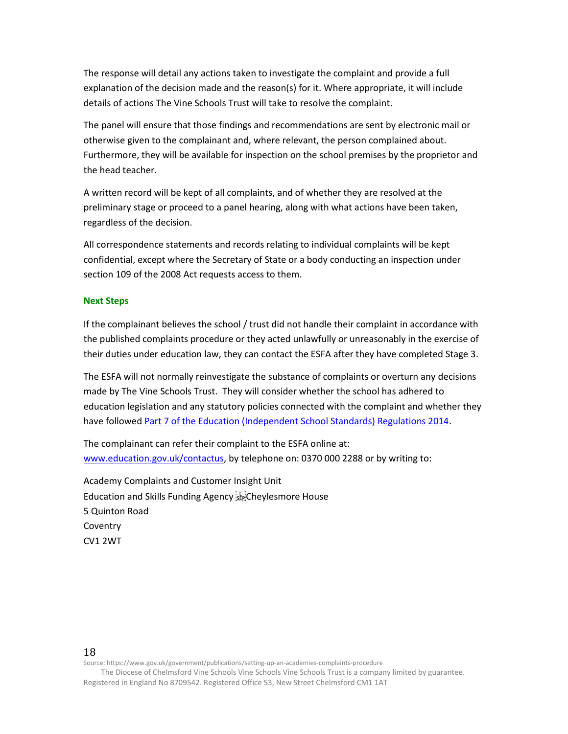The response will detail any actions taken to investigate the complaint and provide a full explanation of the decision made and the reason(s) for it. Where appropriate, it will include details of actions The Vine Schools Trust will take to resolve the complaint.

The panel will ensure that those findings and recommendations are sent by electronic mail or otherwise given to the complainant and, where relevant, the person complained about. Furthermore, they will be available for inspection on the school premises by the proprietor and the head teacher.

A written record will be kept of all complaints, and of whether they are resolved at the preliminary stage or proceed to a panel hearing, along with what actions have been taken, regardless of the decision.

All correspondence statements and records relating to individual complaints will be kept confidential, except where the Secretary of State or a body conducting an inspection under section 109 of the 2008 Act requests access to them.

#### **Next Steps**

If the complainant believes the school / trust did not handle their complaint in accordance with the published complaints procedure or they acted unlawfully or unreasonably in the exercise of their duties under education law, they can contact the ESFA after they have completed Stage 3.

The ESFA will not normally reinvestigate the substance of complaints or overturn any decisions made by The Vine Schools Trust. They will consider whether the school has adhered to education legislation and any statutory policies connected with the complaint and whether they have followe[d Part 7 of the Education \(Independent School Standards\) Regulations 2014.](http://www.legislation.gov.uk/uksi/2010/1997/schedule/1/made)

The complainant can refer their complaint to the ESFA online at: [www.education.gov.uk/contactus,](http://www.education.gov.uk/contactus) by telephone on: 0370 000 2288 or by writing to:

Academy Complaints and Customer Insight Unit Education and Skills Funding Agency Cheylesmore House 5 Quinton Road **Coventry** CV1 2WT

#### 18

Source: https://www.gov.uk/government/publications/setting-up-an-academies-complaints-procedure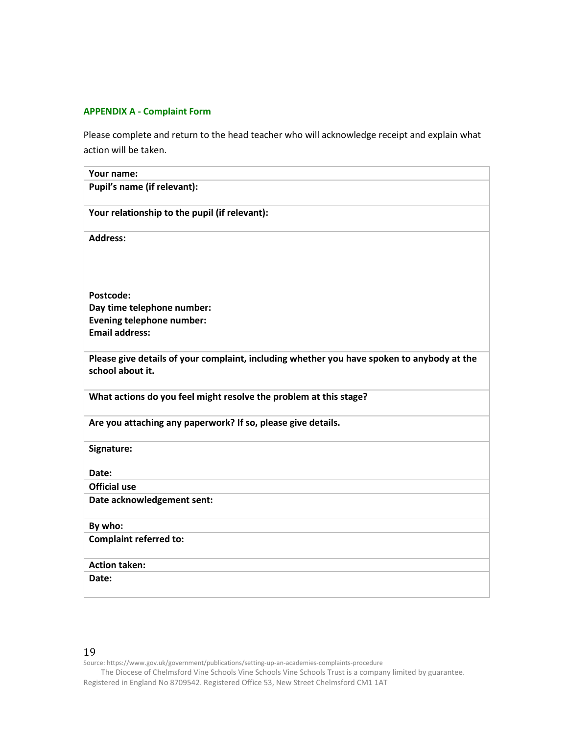#### **APPENDIX A - Complaint Form**

Please complete and return to the head teacher who will acknowledge receipt and explain what action will be taken.

| Your name:                                                                                 |
|--------------------------------------------------------------------------------------------|
| Pupil's name (if relevant):                                                                |
| Your relationship to the pupil (if relevant):                                              |
| <b>Address:</b>                                                                            |
|                                                                                            |
| Postcode:                                                                                  |
| Day time telephone number:                                                                 |
| Evening telephone number:                                                                  |
| <b>Email address:</b>                                                                      |
| Please give details of your complaint, including whether you have spoken to anybody at the |
| school about it.                                                                           |
| What actions do you feel might resolve the problem at this stage?                          |
| Are you attaching any paperwork? If so, please give details.                               |
| Signature:                                                                                 |
| Date:                                                                                      |
| <b>Official use</b>                                                                        |
| Date acknowledgement sent:                                                                 |
| By who:                                                                                    |
| <b>Complaint referred to:</b>                                                              |
| <b>Action taken:</b>                                                                       |
| Date:                                                                                      |
|                                                                                            |

#### 19

Source: https://www.gov.uk/government/publications/setting-up-an-academies-complaints-procedure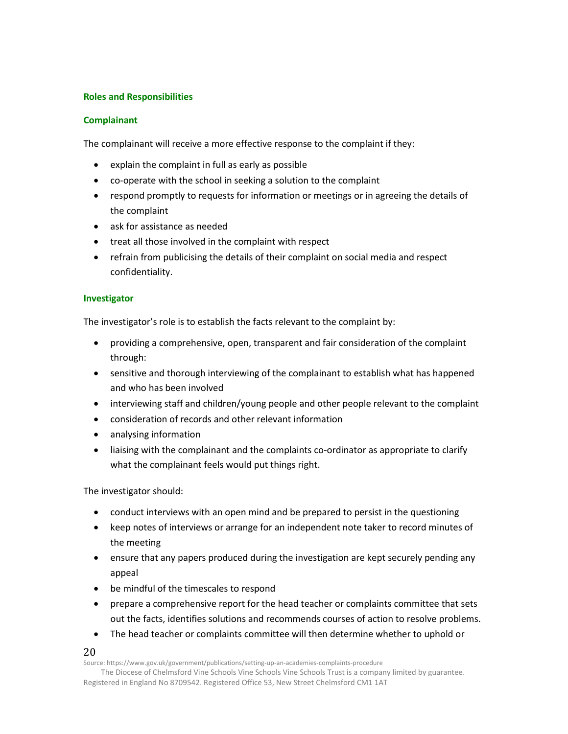#### **Roles and Responsibilities**

#### **Complainant**

The complainant will receive a more effective response to the complaint if they:

- explain the complaint in full as early as possible
- co-operate with the school in seeking a solution to the complaint
- respond promptly to requests for information or meetings or in agreeing the details of the complaint
- ask for assistance as needed
- treat all those involved in the complaint with respect
- refrain from publicising the details of their complaint on social media and respect confidentiality.

#### **Investigator**

The investigator's role is to establish the facts relevant to the complaint by:

- providing a comprehensive, open, transparent and fair consideration of the complaint through:
- sensitive and thorough interviewing of the complainant to establish what has happened and who has been involved
- interviewing staff and children/young people and other people relevant to the complaint
- consideration of records and other relevant information
- analysing information
- liaising with the complainant and the complaints co-ordinator as appropriate to clarify what the complainant feels would put things right.

The investigator should:

- conduct interviews with an open mind and be prepared to persist in the questioning
- keep notes of interviews or arrange for an independent note taker to record minutes of the meeting
- ensure that any papers produced during the investigation are kept securely pending any appeal
- be mindful of the timescales to respond
- prepare a comprehensive report for the head teacher or complaints committee that sets out the facts, identifies solutions and recommends courses of action to resolve problems.
- The head teacher or complaints committee will then determine whether to uphold or

#### 20

Source: https://www.gov.uk/government/publications/setting-up-an-academies-complaints-procedure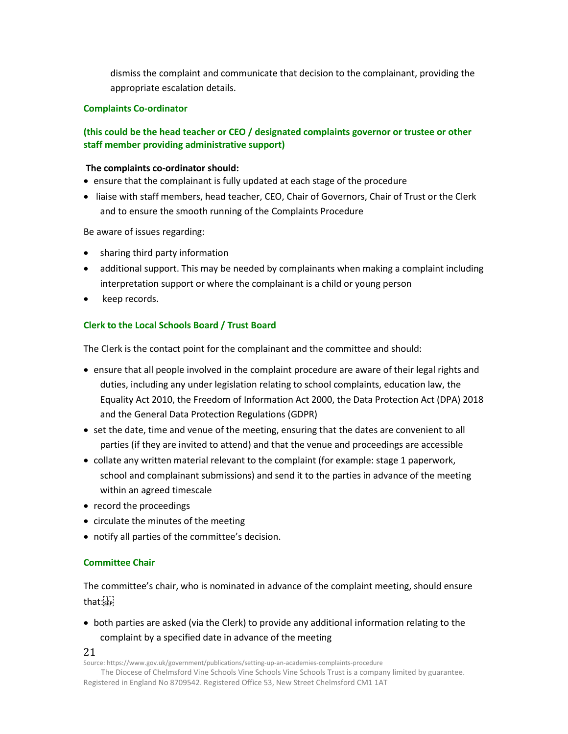dismiss the complaint and communicate that decision to the complainant, providing the appropriate escalation details.

#### **Complaints Co-ordinator**

#### **(this could be the head teacher or CEO / designated complaints governor or trustee or other staff member providing administrative support)**

#### **The complaints co-ordinator should:**

• ensure that the complainant is fully updated at each stage of the procedure

• liaise with staff members, head teacher, CEO, Chair of Governors, Chair of Trust or the Clerk and to ensure the smooth running of the Complaints Procedure

Be aware of issues regarding:

- sharing third party information
- additional support. This may be needed by complainants when making a complaint including interpretation support or where the complainant is a child or young person
- keep records.

#### **Clerk to the Local Schools Board / Trust Board**

The Clerk is the contact point for the complainant and the committee and should:

- ensure that all people involved in the complaint procedure are aware of their legal rights and duties, including any under legislation relating to school complaints, education law, the Equality Act 2010, the Freedom of Information Act 2000, the Data Protection Act (DPA) 2018 and the General Data Protection Regulations (GDPR)
- set the date, time and venue of the meeting, ensuring that the dates are convenient to all parties (if they are invited to attend) and that the venue and proceedings are accessible
- collate any written material relevant to the complaint (for example: stage 1 paperwork, school and complainant submissions) and send it to the parties in advance of the meeting within an agreed timescale
- record the proceedings
- circulate the minutes of the meeting
- notify all parties of the committee's decision.

#### **Committee Chair**

The committee's chair, who is nominated in advance of the complaint meeting, should ensure that:

• both parties are asked (via the Clerk) to provide any additional information relating to the complaint by a specified date in advance of the meeting

21

Source: https://www.gov.uk/government/publications/setting-up-an-academies-complaints-procedure

The Diocese of Chelmsford Vine Schools Vine Schools Vine Schools Trust is a company limited by guarantee. Registered in England No 8709542. Registered Office 53, New Street Chelmsford CM1 1AT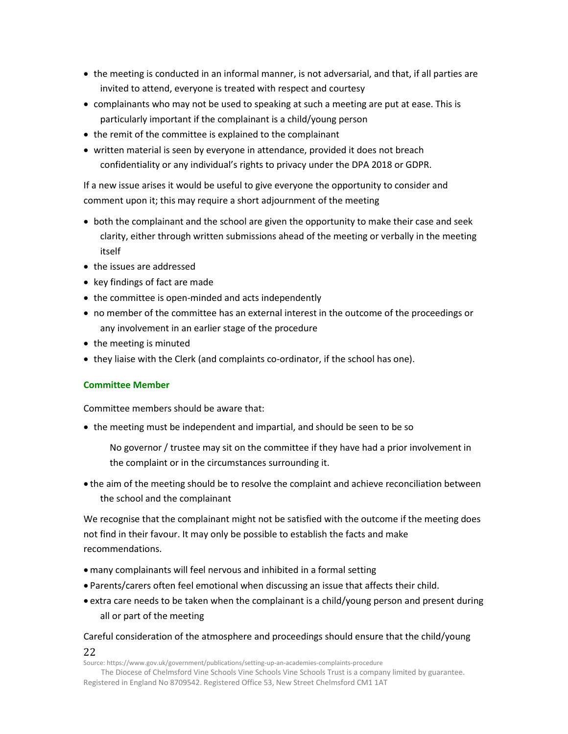- the meeting is conducted in an informal manner, is not adversarial, and that, if all parties are invited to attend, everyone is treated with respect and courtesy
- complainants who may not be used to speaking at such a meeting are put at ease. This is particularly important if the complainant is a child/young person
- the remit of the committee is explained to the complainant
- written material is seen by everyone in attendance, provided it does not breach confidentiality or any individual's rights to privacy under the DPA 2018 or GDPR.

If a new issue arises it would be useful to give everyone the opportunity to consider and comment upon it; this may require a short adjournment of the meeting

- both the complainant and the school are given the opportunity to make their case and seek clarity, either through written submissions ahead of the meeting or verbally in the meeting itself
- the issues are addressed
- key findings of fact are made
- the committee is open-minded and acts independently
- no member of the committee has an external interest in the outcome of the proceedings or any involvement in an earlier stage of the procedure
- the meeting is minuted
- they liaise with the Clerk (and complaints co-ordinator, if the school has one).

#### **Committee Member**

Committee members should be aware that:

• the meeting must be independent and impartial, and should be seen to be so

No governor / trustee may sit on the committee if they have had a prior involvement in the complaint or in the circumstances surrounding it.

• the aim of the meeting should be to resolve the complaint and achieve reconciliation between the school and the complainant

We recognise that the complainant might not be satisfied with the outcome if the meeting does not find in their favour. It may only be possible to establish the facts and make recommendations.

- many complainants will feel nervous and inhibited in a formal setting
- Parents/carers often feel emotional when discussing an issue that affects their child.
- extra care needs to be taken when the complainant is a child/young person and present during all or part of the meeting

### Careful consideration of the atmosphere and proceedings should ensure that the child/young

22

Source: https://www.gov.uk/government/publications/setting-up-an-academies-complaints-procedure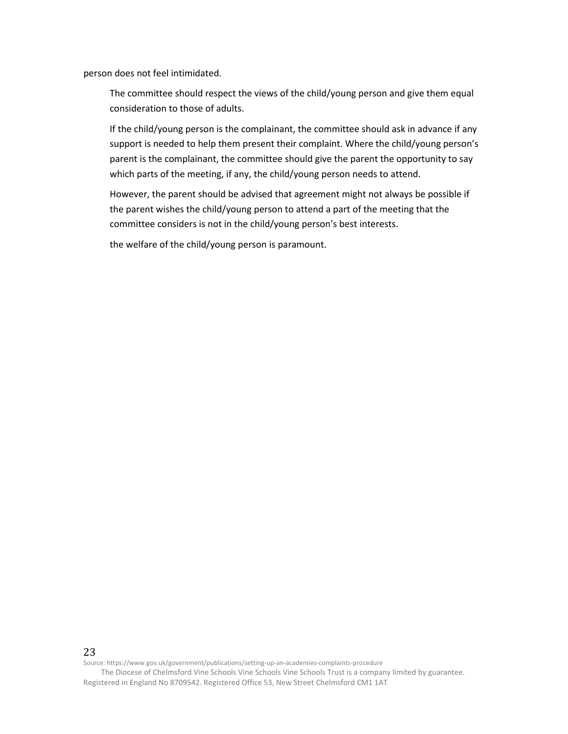person does not feel intimidated.

The committee should respect the views of the child/young person and give them equal consideration to those of adults.

If the child/young person is the complainant, the committee should ask in advance if any support is needed to help them present their complaint. Where the child/young person's parent is the complainant, the committee should give the parent the opportunity to say which parts of the meeting, if any, the child/young person needs to attend.

However, the parent should be advised that agreement might not always be possible if the parent wishes the child/young person to attend a part of the meeting that the committee considers is not in the child/young person's best interests.

the welfare of the child/young person is paramount.

Source: https://www.gov.uk/government/publications/setting-up-an-academies-complaints-procedure

23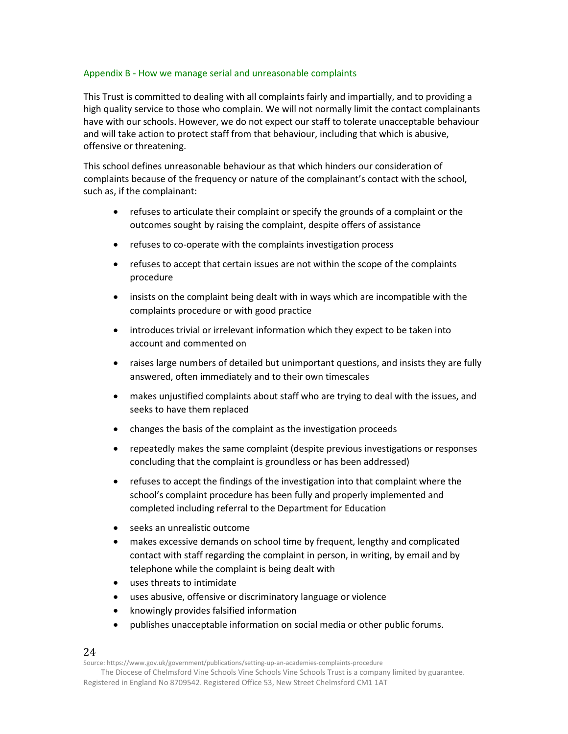#### Appendix B - How we manage serial and unreasonable complaints

This Trust is committed to dealing with all complaints fairly and impartially, and to providing a high quality service to those who complain. We will not normally limit the contact complainants have with our schools. However, we do not expect our staff to tolerate unacceptable behaviour and will take action to protect staff from that behaviour, including that which is abusive, offensive or threatening.

This school defines unreasonable behaviour as that which hinders our consideration of complaints because of the frequency or nature of the complainant's contact with the school, such as, if the complainant:

- refuses to articulate their complaint or specify the grounds of a complaint or the outcomes sought by raising the complaint, despite offers of assistance
- refuses to co-operate with the complaints investigation process
- refuses to accept that certain issues are not within the scope of the complaints procedure
- insists on the complaint being dealt with in ways which are incompatible with the complaints procedure or with good practice
- introduces trivial or irrelevant information which they expect to be taken into account and commented on
- raises large numbers of detailed but unimportant questions, and insists they are fully answered, often immediately and to their own timescales
- makes unjustified complaints about staff who are trying to deal with the issues, and seeks to have them replaced
- changes the basis of the complaint as the investigation proceeds
- repeatedly makes the same complaint (despite previous investigations or responses concluding that the complaint is groundless or has been addressed)
- refuses to accept the findings of the investigation into that complaint where the school's complaint procedure has been fully and properly implemented and completed including referral to the Department for Education
- seeks an unrealistic outcome
- makes excessive demands on school time by frequent, lengthy and complicated contact with staff regarding the complaint in person, in writing, by email and by telephone while the complaint is being dealt with
- uses threats to intimidate
- uses abusive, offensive or discriminatory language or violence
- knowingly provides falsified information
- publishes unacceptable information on social media or other public forums.

#### 24

Source: https://www.gov.uk/government/publications/setting-up-an-academies-complaints-procedure